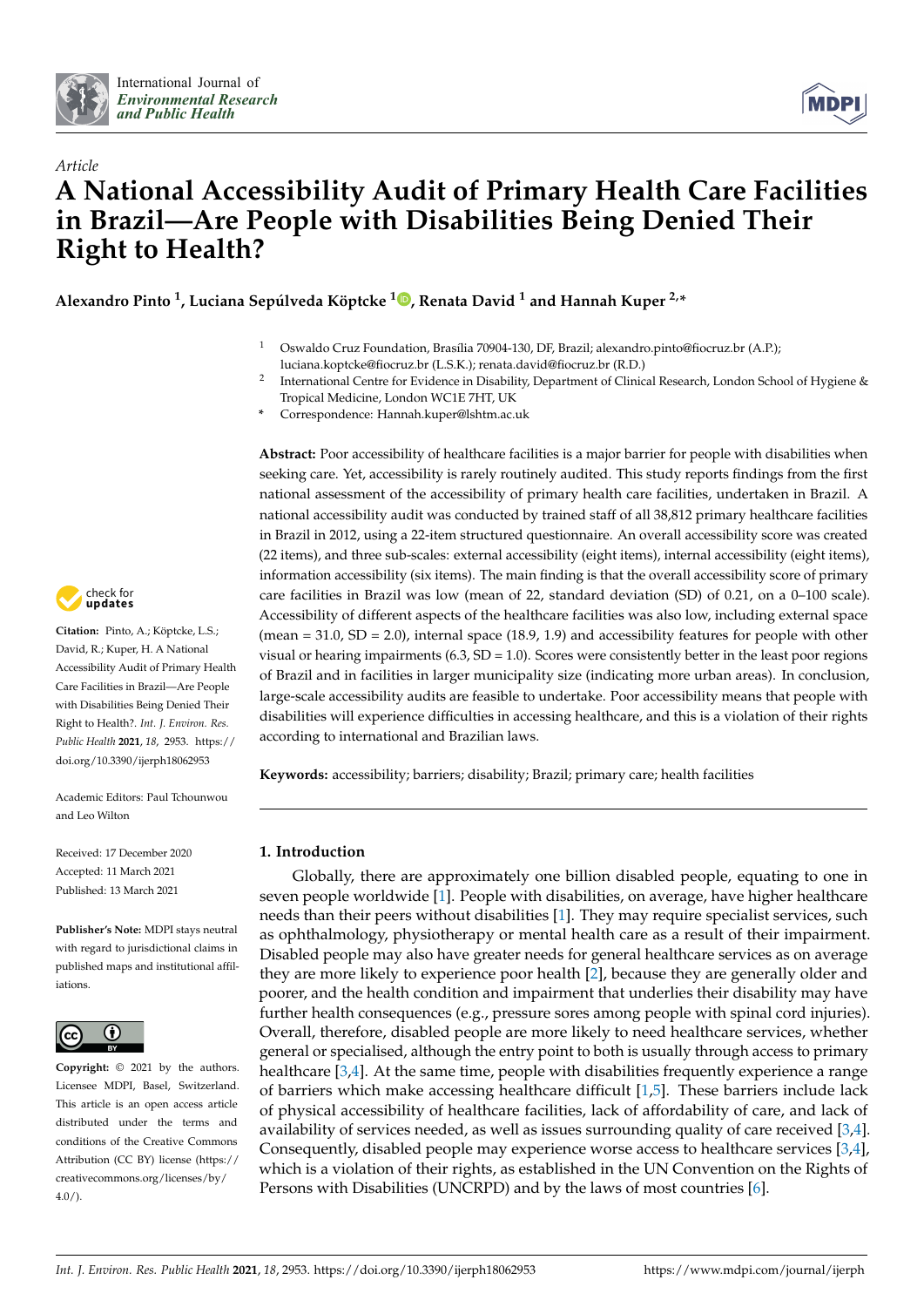



# *Article* **A National Accessibility Audit of Primary Health Care Facilities in Brazil—Are People with Disabilities Being Denied Their Right to Health?**

**Alexandro Pinto <sup>1</sup> , Luciana Sepúlveda Köptcke <sup>1</sup> [,](https://orcid.org/0000-0001-7079-6575) Renata David <sup>1</sup> and Hannah Kuper 2,\***

- <sup>1</sup> Oswaldo Cruz Foundation, Brasília 70904-130, DF, Brazil; alexandro.pinto@fiocruz.br (A.P.); luciana.koptcke@fiocruz.br (L.S.K.); renata.david@fiocruz.br (R.D.)
- 2 International Centre for Evidence in Disability, Department of Clinical Research, London School of Hygiene & Tropical Medicine, London WC1E 7HT, UK
- **\*** Correspondence: Hannah.kuper@lshtm.ac.uk

**Abstract:** Poor accessibility of healthcare facilities is a major barrier for people with disabilities when seeking care. Yet, accessibility is rarely routinely audited. This study reports findings from the first national assessment of the accessibility of primary health care facilities, undertaken in Brazil. A national accessibility audit was conducted by trained staff of all 38,812 primary healthcare facilities in Brazil in 2012, using a 22-item structured questionnaire. An overall accessibility score was created (22 items), and three sub-scales: external accessibility (eight items), internal accessibility (eight items), information accessibility (six items). The main finding is that the overall accessibility score of primary care facilities in Brazil was low (mean of 22, standard deviation (SD) of 0.21, on a 0–100 scale). Accessibility of different aspects of the healthcare facilities was also low, including external space (mean = 31.0, SD = 2.0), internal space (18.9, 1.9) and accessibility features for people with other visual or hearing impairments  $(6.3, SD = 1.0)$ . Scores were consistently better in the least poor regions of Brazil and in facilities in larger municipality size (indicating more urban areas). In conclusion, large-scale accessibility audits are feasible to undertake. Poor accessibility means that people with disabilities will experience difficulties in accessing healthcare, and this is a violation of their rights according to international and Brazilian laws.

**Keywords:** accessibility; barriers; disability; Brazil; primary care; health facilities

## **1. Introduction**

Globally, there are approximately one billion disabled people, equating to one in seven people worldwide [\[1\]](#page-9-0). People with disabilities, on average, have higher healthcare needs than their peers without disabilities [\[1\]](#page-9-0). They may require specialist services, such as ophthalmology, physiotherapy or mental health care as a result of their impairment. Disabled people may also have greater needs for general healthcare services as on average they are more likely to experience poor health [\[2\]](#page-9-1), because they are generally older and poorer, and the health condition and impairment that underlies their disability may have further health consequences (e.g., pressure sores among people with spinal cord injuries). Overall, therefore, disabled people are more likely to need healthcare services, whether general or specialised, although the entry point to both is usually through access to primary healthcare [\[3,](#page-9-2)[4\]](#page-9-3). At the same time, people with disabilities frequently experience a range of barriers which make accessing healthcare difficult [\[1](#page-9-0)[,5\]](#page-9-4). These barriers include lack of physical accessibility of healthcare facilities, lack of affordability of care, and lack of availability of services needed, as well as issues surrounding quality of care received [\[3](#page-9-2)[,4\]](#page-9-3). Consequently, disabled people may experience worse access to healthcare services [\[3,](#page-9-2)[4\]](#page-9-3), which is a violation of their rights, as established in the UN Convention on the Rights of Persons with Disabilities (UNCRPD) and by the laws of most countries [\[6\]](#page-9-5).



**Citation:** Pinto, A.; Köptcke, L.S.; David, R.; Kuper, H. A National Accessibility Audit of Primary Health Care Facilities in Brazil—Are People with Disabilities Being Denied Their Right to Health?. *Int. J. Environ. Res. Public Health* **2021**, *18*, 2953. [https://](https://doi.org/10.3390/ijerph18062953) [doi.org/10.3390/ijerph18062953](https://doi.org/10.3390/ijerph18062953)

Academic Editors: Paul Tchounwou and Leo Wilton

Received: 17 December 2020 Accepted: 11 March 2021 Published: 13 March 2021

**Publisher's Note:** MDPI stays neutral with regard to jurisdictional claims in published maps and institutional affiliations.



**Copyright:** © 2021 by the authors. Licensee MDPI, Basel, Switzerland. This article is an open access article distributed under the terms and conditions of the Creative Commons Attribution (CC BY) license (https:/[/](https://creativecommons.org/licenses/by/4.0/) [creativecommons.org/licenses/by/](https://creativecommons.org/licenses/by/4.0/) 4.0/).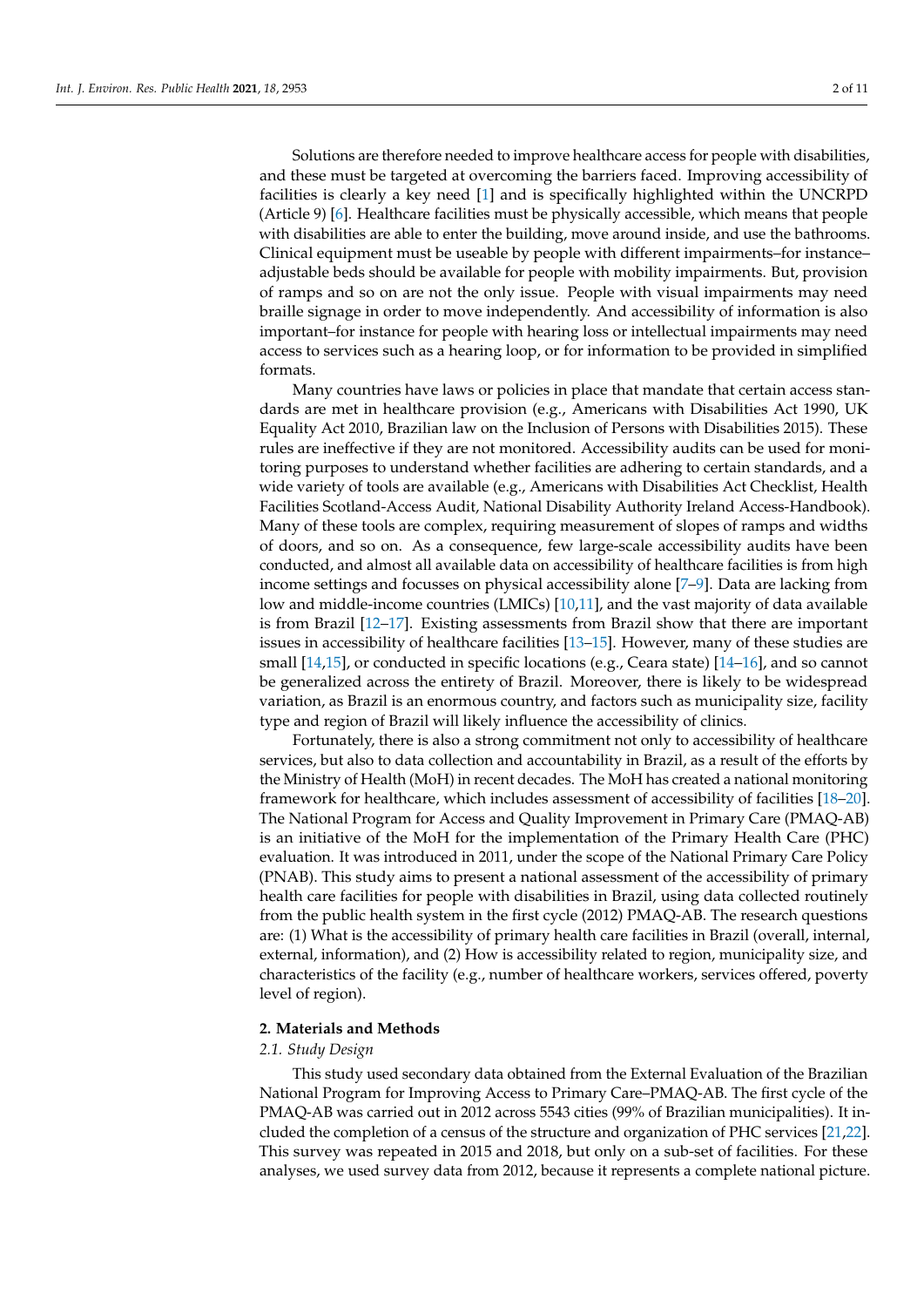Solutions are therefore needed to improve healthcare access for people with disabilities, and these must be targeted at overcoming the barriers faced. Improving accessibility of facilities is clearly a key need [\[1\]](#page-9-0) and is specifically highlighted within the UNCRPD (Article 9) [\[6\]](#page-9-5). Healthcare facilities must be physically accessible, which means that people with disabilities are able to enter the building, move around inside, and use the bathrooms. Clinical equipment must be useable by people with different impairments–for instance– adjustable beds should be available for people with mobility impairments. But, provision of ramps and so on are not the only issue. People with visual impairments may need braille signage in order to move independently. And accessibility of information is also important–for instance for people with hearing loss or intellectual impairments may need access to services such as a hearing loop, or for information to be provided in simplified formats.

Many countries have laws or policies in place that mandate that certain access standards are met in healthcare provision (e.g., Americans with Disabilities Act 1990, UK Equality Act 2010, Brazilian law on the Inclusion of Persons with Disabilities 2015). These rules are ineffective if they are not monitored. Accessibility audits can be used for monitoring purposes to understand whether facilities are adhering to certain standards, and a wide variety of tools are available (e.g., Americans with Disabilities Act Checklist, Health Facilities Scotland-Access Audit, National Disability Authority Ireland Access-Handbook). Many of these tools are complex, requiring measurement of slopes of ramps and widths of doors, and so on. As a consequence, few large-scale accessibility audits have been conducted, and almost all available data on accessibility of healthcare facilities is from high income settings and focusses on physical accessibility alone [\[7–](#page-9-6)[9\]](#page-9-7). Data are lacking from low and middle-income countries (LMICs) [\[10,](#page-9-8)[11\]](#page-9-9), and the vast majority of data available is from Brazil [\[12](#page-9-10)[–17\]](#page-9-11). Existing assessments from Brazil show that there are important issues in accessibility of healthcare facilities [\[13–](#page-9-12)[15\]](#page-9-13). However, many of these studies are small [\[14](#page-9-14)[,15\]](#page-9-13), or conducted in specific locations (e.g., Ceara state) [\[14](#page-9-14)[–16\]](#page-9-15), and so cannot be generalized across the entirety of Brazil. Moreover, there is likely to be widespread variation, as Brazil is an enormous country, and factors such as municipality size, facility type and region of Brazil will likely influence the accessibility of clinics.

Fortunately, there is also a strong commitment not only to accessibility of healthcare services, but also to data collection and accountability in Brazil, as a result of the efforts by the Ministry of Health (MoH) in recent decades. The MoH has created a national monitoring framework for healthcare, which includes assessment of accessibility of facilities [\[18](#page-9-16)[–20\]](#page-9-17). The National Program for Access and Quality Improvement in Primary Care (PMAQ-AB) is an initiative of the MoH for the implementation of the Primary Health Care (PHC) evaluation. It was introduced in 2011, under the scope of the National Primary Care Policy (PNAB). This study aims to present a national assessment of the accessibility of primary health care facilities for people with disabilities in Brazil, using data collected routinely from the public health system in the first cycle (2012) PMAQ-AB. The research questions are: (1) What is the accessibility of primary health care facilities in Brazil (overall, internal, external, information), and (2) How is accessibility related to region, municipality size, and characteristics of the facility (e.g., number of healthcare workers, services offered, poverty level of region).

#### **2. Materials and Methods**

#### *2.1. Study Design*

This study used secondary data obtained from the External Evaluation of the Brazilian National Program for Improving Access to Primary Care–PMAQ-AB. The first cycle of the PMAQ-AB was carried out in 2012 across 5543 cities (99% of Brazilian municipalities). It included the completion of a census of the structure and organization of PHC services [\[21](#page-9-18)[,22\]](#page-10-0). This survey was repeated in 2015 and 2018, but only on a sub-set of facilities. For these analyses, we used survey data from 2012, because it represents a complete national picture.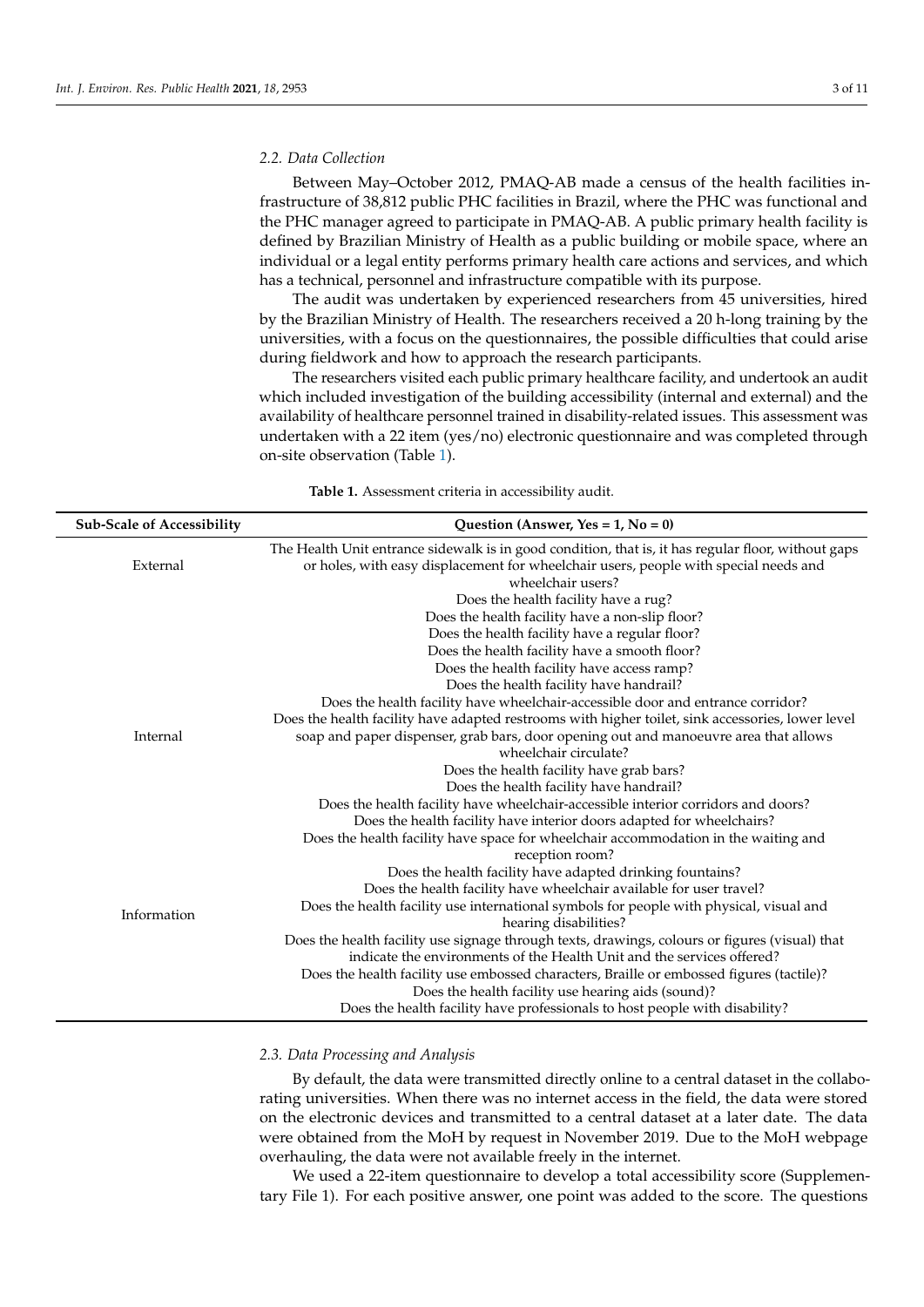## *2.2. Data Collection*

Between May–October 2012, PMAQ-AB made a census of the health facilities infrastructure of 38,812 public PHC facilities in Brazil, where the PHC was functional and the PHC manager agreed to participate in PMAQ-AB. A public primary health facility is defined by Brazilian Ministry of Health as a public building or mobile space, where an individual or a legal entity performs primary health care actions and services, and which has a technical, personnel and infrastructure compatible with its purpose.

The audit was undertaken by experienced researchers from 45 universities, hired by the Brazilian Ministry of Health. The researchers received a 20 h-long training by the universities, with a focus on the questionnaires, the possible difficulties that could arise during fieldwork and how to approach the research participants.

The researchers visited each public primary healthcare facility, and undertook an audit which included investigation of the building accessibility (internal and external) and the availability of healthcare personnel trained in disability-related issues. This assessment was undertaken with a 22 item (yes/no) electronic questionnaire and was completed through on-site observation (Table [1\)](#page-2-0).

**Table 1.** Assessment criteria in accessibility audit.

<span id="page-2-0"></span>

| <b>Sub-Scale of Accessibility</b> | Question (Answer, Yes = $1$ , No = 0)                                                                                                                                                       |
|-----------------------------------|---------------------------------------------------------------------------------------------------------------------------------------------------------------------------------------------|
| External                          | The Health Unit entrance sidewalk is in good condition, that is, it has regular floor, without gaps<br>or holes, with easy displacement for wheelchair users, people with special needs and |
|                                   | wheelchair users?                                                                                                                                                                           |
|                                   | Does the health facility have a rug?                                                                                                                                                        |
|                                   | Does the health facility have a non-slip floor?                                                                                                                                             |
|                                   | Does the health facility have a regular floor?                                                                                                                                              |
|                                   | Does the health facility have a smooth floor?                                                                                                                                               |
|                                   | Does the health facility have access ramp?                                                                                                                                                  |
|                                   | Does the health facility have handrail?                                                                                                                                                     |
|                                   | Does the health facility have wheelchair-accessible door and entrance corridor?                                                                                                             |
|                                   | Does the health facility have adapted restrooms with higher toilet, sink accessories, lower level                                                                                           |
| Internal                          | soap and paper dispenser, grab bars, door opening out and manoeuvre area that allows                                                                                                        |
|                                   | wheelchair circulate?                                                                                                                                                                       |
|                                   | Does the health facility have grab bars?                                                                                                                                                    |
|                                   | Does the health facility have handrail?                                                                                                                                                     |
|                                   | Does the health facility have wheelchair-accessible interior corridors and doors?                                                                                                           |
|                                   | Does the health facility have interior doors adapted for wheelchairs?                                                                                                                       |
|                                   | Does the health facility have space for wheelchair accommodation in the waiting and                                                                                                         |
|                                   | reception room?                                                                                                                                                                             |
|                                   | Does the health facility have adapted drinking fountains?                                                                                                                                   |
|                                   | Does the health facility have wheelchair available for user travel?                                                                                                                         |
| Information                       | Does the health facility use international symbols for people with physical, visual and                                                                                                     |
|                                   | hearing disabilities?                                                                                                                                                                       |
|                                   | Does the health facility use signage through texts, drawings, colours or figures (visual) that                                                                                              |
|                                   | indicate the environments of the Health Unit and the services offered?                                                                                                                      |
|                                   | Does the health facility use embossed characters, Braille or embossed figures (tactile)?                                                                                                    |
|                                   | Does the health facility use hearing aids (sound)?                                                                                                                                          |
|                                   | Does the health facility have professionals to host people with disability?                                                                                                                 |
|                                   |                                                                                                                                                                                             |

## *2.3. Data Processing and Analysis*

By default, the data were transmitted directly online to a central dataset in the collaborating universities. When there was no internet access in the field, the data were stored on the electronic devices and transmitted to a central dataset at a later date. The data were obtained from the MoH by request in November 2019. Due to the MoH webpage overhauling, the data were not available freely in the internet.

We used a 22-item questionnaire to develop a total accessibility score (Supplementary File 1). For each positive answer, one point was added to the score. The questions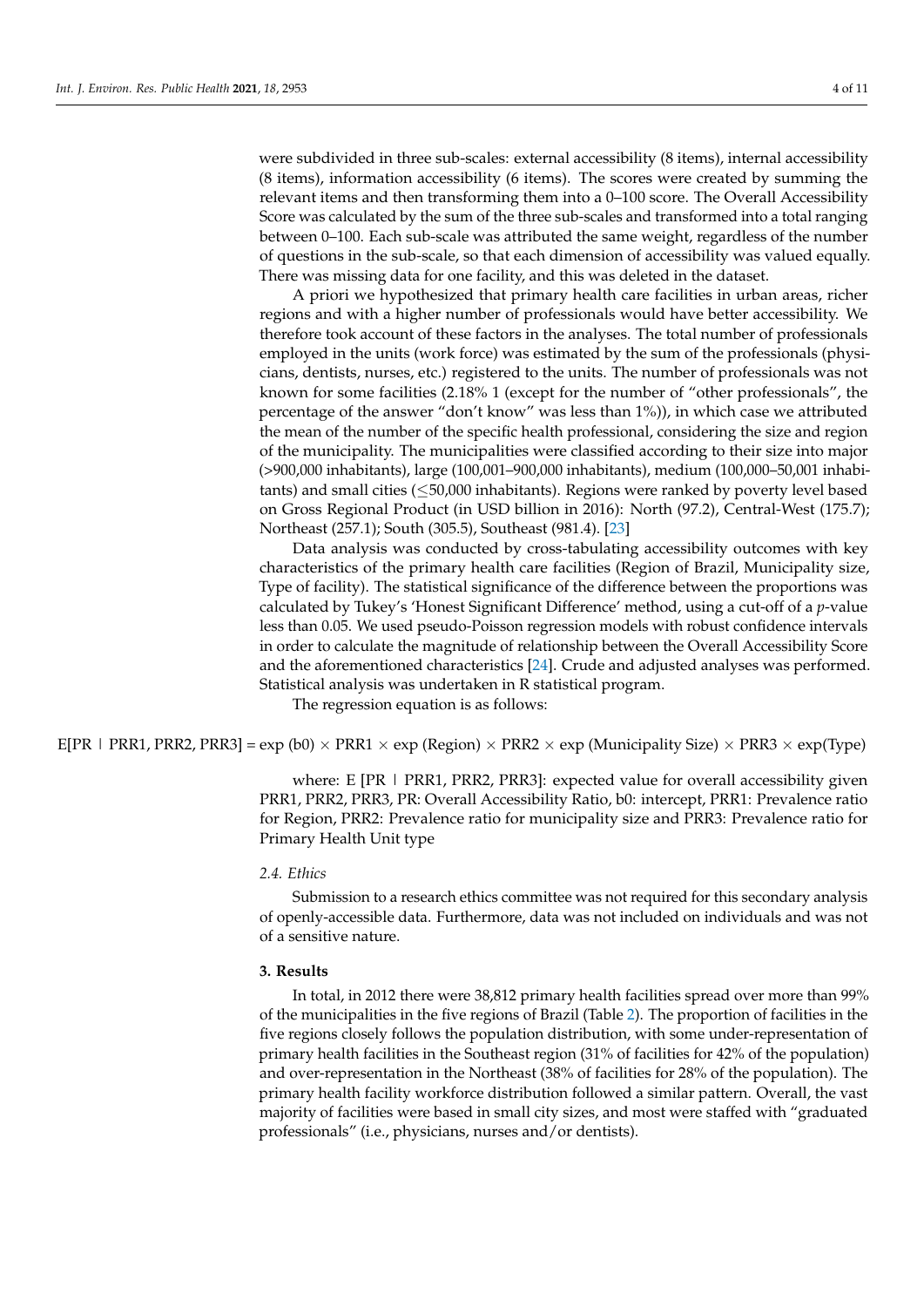were subdivided in three sub-scales: external accessibility (8 items), internal accessibility (8 items), information accessibility (6 items). The scores were created by summing the relevant items and then transforming them into a 0–100 score. The Overall Accessibility Score was calculated by the sum of the three sub-scales and transformed into a total ranging between 0–100. Each sub-scale was attributed the same weight, regardless of the number of questions in the sub-scale, so that each dimension of accessibility was valued equally. There was missing data for one facility, and this was deleted in the dataset.

A priori we hypothesized that primary health care facilities in urban areas, richer regions and with a higher number of professionals would have better accessibility. We therefore took account of these factors in the analyses. The total number of professionals employed in the units (work force) was estimated by the sum of the professionals (physicians, dentists, nurses, etc.) registered to the units. The number of professionals was not known for some facilities (2.18% 1 (except for the number of "other professionals", the percentage of the answer "don't know" was less than 1%)), in which case we attributed the mean of the number of the specific health professional, considering the size and region of the municipality. The municipalities were classified according to their size into major (>900,000 inhabitants), large (100,001–900,000 inhabitants), medium (100,000–50,001 inhabitants) and small cities  $(\leq 50,000$  inhabitants). Regions were ranked by poverty level based on Gross Regional Product (in USD billion in 2016): North (97.2), Central-West (175.7); Northeast (257.1); South (305.5), Southeast (981.4). [\[23\]](#page-10-1)

Data analysis was conducted by cross-tabulating accessibility outcomes with key characteristics of the primary health care facilities (Region of Brazil, Municipality size, Type of facility). The statistical significance of the difference between the proportions was calculated by Tukey's 'Honest Significant Difference' method, using a cut-off of a *p*-value less than 0.05. We used pseudo-Poisson regression models with robust confidence intervals in order to calculate the magnitude of relationship between the Overall Accessibility Score and the aforementioned characteristics [\[24\]](#page-10-2). Crude and adjusted analyses was performed. Statistical analysis was undertaken in R statistical program.

The regression equation is as follows:

E[PR | PRR1, PRR2, PRR3] = exp (b0)  $\times$  PRR1  $\times$  exp (Region)  $\times$  PRR2  $\times$  exp (Municipality Size)  $\times$  PRR3  $\times$  exp(Type)

where: E [PR | PRR1, PRR2, PRR3]: expected value for overall accessibility given PRR1, PRR2, PRR3, PR: Overall Accessibility Ratio, b0: intercept, PRR1: Prevalence ratio for Region, PRR2: Prevalence ratio for municipality size and PRR3: Prevalence ratio for Primary Health Unit type

## *2.4. Ethics*

Submission to a research ethics committee was not required for this secondary analysis of openly-accessible data. Furthermore, data was not included on individuals and was not of a sensitive nature.

## **3. Results**

In total, in 2012 there were 38,812 primary health facilities spread over more than 99% of the municipalities in the five regions of Brazil (Table [2\)](#page-4-0). The proportion of facilities in the five regions closely follows the population distribution, with some under-representation of primary health facilities in the Southeast region (31% of facilities for 42% of the population) and over-representation in the Northeast (38% of facilities for 28% of the population). The primary health facility workforce distribution followed a similar pattern. Overall, the vast majority of facilities were based in small city sizes, and most were staffed with "graduated professionals" (i.e., physicians, nurses and/or dentists).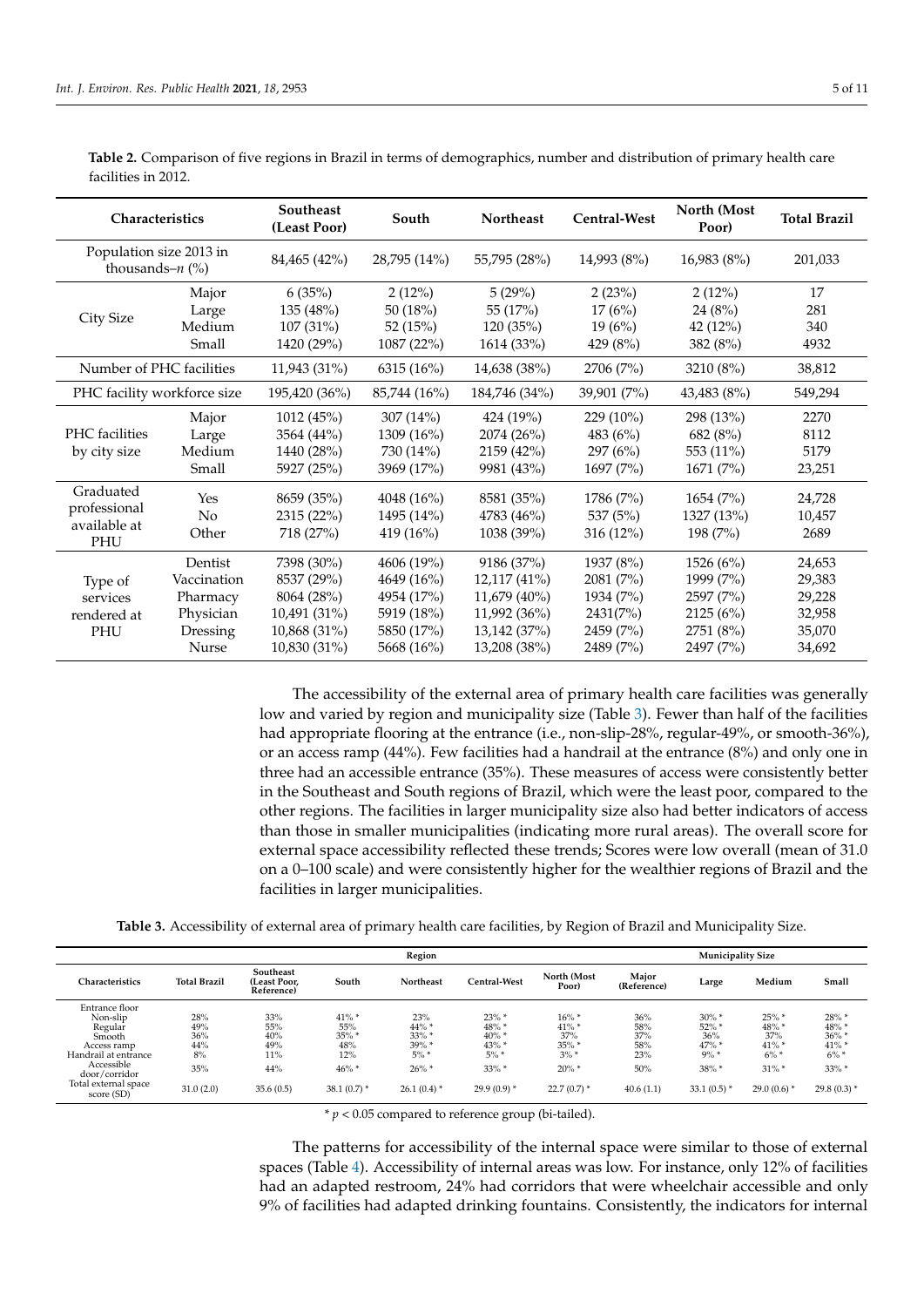| Characteristics                                  |                                                                      | <b>Southeast</b><br>(Least Poor)                                                       | South                                                                            | <b>Northeast</b>                                                                           | Central-West                                                              | North (Most<br>Poor)                                                       | <b>Total Brazil</b>                                      |
|--------------------------------------------------|----------------------------------------------------------------------|----------------------------------------------------------------------------------------|----------------------------------------------------------------------------------|--------------------------------------------------------------------------------------------|---------------------------------------------------------------------------|----------------------------------------------------------------------------|----------------------------------------------------------|
| Population size 2013 in<br>thousands– $n$ (%)    |                                                                      | 84,465 (42%)                                                                           | 28,795 (14%)                                                                     | 55,795 (28%)                                                                               | 14,993 (8%)                                                               | 16,983(8%)                                                                 | 201,033                                                  |
| City Size                                        | Major<br>Large<br>Medium<br>Small                                    | 6(35%)<br>135 (48%)<br>$107(31\%)$<br>1420 (29%)                                       | 2(12%)<br>50 $(18%)$<br>52(15%)<br>1087 (22%)                                    | 5(29%)<br>55 (17%)<br>120(35%)<br>1614 (33%)                                               | 2(23%)<br>17(6%)<br>19(6%)<br>429 (8%)                                    | 2(12%)<br>24(8%)<br>42(12%)<br>382 (8%)                                    | 17<br>281<br>340<br>4932                                 |
| Number of PHC facilities                         |                                                                      | 11,943 (31%)                                                                           | 6315 (16%)                                                                       | 14,638 (38%)                                                                               | 2706 (7%)                                                                 | 3210 (8%)                                                                  | 38,812                                                   |
| PHC facility workforce size                      |                                                                      | 195,420 (36%)                                                                          | 85,744 (16%)                                                                     | 184,746 (34%)                                                                              | 39,901 (7%)                                                               | 43,483 (8%)                                                                | 549,294                                                  |
| PHC facilities<br>by city size                   | Major<br>Large<br>Medium<br>Small                                    | 1012 (45%)<br>3564 (44%)<br>1440 (28%)<br>5927 (25%)                                   | 307 $(14\%)$<br>1309 (16%)<br>730 (14%)<br>3969 (17%)                            | 424 (19%)<br>2074 (26%)<br>2159 (42%)<br>9981 (43%)                                        | 229 (10%)<br>483 (6%)<br>297(6%)<br>1697(7%)                              | 298 (13%)<br>682 (8%)<br>553 (11%)<br>1671 (7%)                            | 2270<br>8112<br>5179<br>23,251                           |
| Graduated<br>professional<br>available at<br>PHU | Yes<br>No<br>Other                                                   | 8659 (35%)<br>2315 (22%)<br>718 (27%)                                                  | 4048 (16%)<br>1495 (14%)<br>419 $(16\%)$                                         | 8581 (35%)<br>4783 (46%)<br>1038 (39%)                                                     | 1786 (7%)<br>537 (5%)<br>$316(12\%)$                                      | 1654 (7%)<br>1327 (13%)<br>198 (7%)                                        | 24,728<br>10,457<br>2689                                 |
| Type of<br>services<br>rendered at<br>PHU        | Dentist<br>Vaccination<br>Pharmacy<br>Physician<br>Dressing<br>Nurse | 7398 (30%)<br>8537 (29%)<br>8064 (28%)<br>10,491 (31%)<br>10,868 (31%)<br>10,830 (31%) | 4606 (19%)<br>4649 (16%)<br>4954 (17%)<br>5919 (18%)<br>5850 (17%)<br>5668 (16%) | 9186 (37%)<br>12,117 (41%)<br>11,679 (40%)<br>11,992 (36%)<br>13,142 (37%)<br>13,208 (38%) | 1937 (8%)<br>2081 (7%)<br>1934 (7%)<br>2431(7%)<br>2459 (7%)<br>2489 (7%) | 1526 (6%)<br>1999 (7%)<br>2597 (7%)<br>2125 (6%)<br>2751 (8%)<br>2497 (7%) | 24,653<br>29,383<br>29,228<br>32,958<br>35,070<br>34,692 |

<span id="page-4-0"></span>**Table 2.** Comparison of five regions in Brazil in terms of demographics, number and distribution of primary health care facilities in 2012.

> The accessibility of the external area of primary health care facilities was generally low and varied by region and municipality size (Table [3\)](#page-4-1). Fewer than half of the facilities had appropriate flooring at the entrance (i.e., non-slip-28%, regular-49%, or smooth-36%), or an access ramp (44%). Few facilities had a handrail at the entrance (8%) and only one in three had an accessible entrance (35%). These measures of access were consistently better in the Southeast and South regions of Brazil, which were the least poor, compared to the other regions. The facilities in larger municipality size also had better indicators of access than those in smaller municipalities (indicating more rural areas). The overall score for external space accessibility reflected these trends; Scores were low overall (mean of 31.0 on a 0–100 scale) and were consistently higher for the wealthier regions of Brazil and the facilities in larger municipalities.

**Table 3.** Accessibility of external area of primary health care facilities, by Region of Brazil and Municipality Size.

<span id="page-4-1"></span>

|                                                                                                                                                             | Region                                             |                                                        |                                                                        |                                                                                 |                                                                              | <b>Municipality Size</b>                                                        |                                                     |                                                                            |                                                                              |                                                                                |
|-------------------------------------------------------------------------------------------------------------------------------------------------------------|----------------------------------------------------|--------------------------------------------------------|------------------------------------------------------------------------|---------------------------------------------------------------------------------|------------------------------------------------------------------------------|---------------------------------------------------------------------------------|-----------------------------------------------------|----------------------------------------------------------------------------|------------------------------------------------------------------------------|--------------------------------------------------------------------------------|
| Characteristics                                                                                                                                             | <b>Total Brazil</b>                                | Southeast<br>(Least Poor.<br>Reference)                | South                                                                  | Northeast                                                                       | Central-West                                                                 | North (Most<br>Poor)                                                            | Major<br>(Reference)                                | Large                                                                      | Medium                                                                       | Small                                                                          |
| Entrance floor<br>Non-slip<br>Regular<br>Smooth<br>Access ramp<br>Handrail at entrance<br>Accessible<br>door/corridor<br>Total external space<br>score (SD) | 28%<br>49%<br>36%<br>44%<br>8%<br>35%<br>31.0(2.0) | 33%<br>55%<br>40%<br>49%<br>$11\%$<br>44%<br>35.6(0.5) | $41\%$ *<br>55%<br>$35\%$ *<br>48%<br>12%<br>$46\% *$<br>$38.1(0.7)$ * | 23%<br>$44\% *$<br>$33\%$ *<br>$39\%$ *<br>$5\%$ *<br>$26\%$ *<br>$26.1(0.4)$ * | $23\%$ *<br>48% *<br>$40\%$ *<br>43% *<br>$5\%$<br>$33\%$ *<br>$29.9(0.9)$ * | $16\%$ *<br>$41\%$ *<br>37%<br>$35\%$ *<br>$3\%$ *<br>$20\%$ *<br>$22.7(0.7)$ * | 36%<br>58%<br>37%<br>58%<br>23%<br>50%<br>40.6(1.1) | $30\%$ *<br>$52\%$<br>36%<br>$47\%$ *<br>$9\%$ *<br>38% *<br>$33.1(0.5)$ * | $25\%$ *<br>48% *<br>37%<br>$41\%$ *<br>$6\%$ *<br>$31\%$ *<br>$29.0(0.6)$ * | 28% *<br>48% *<br>$36\%$ *<br>$41\%$ *<br>$6\% *$<br>$33\%$ *<br>$29.8(0.3)$ * |

 $* p < 0.05$  compared to reference group (bi-tailed).

The patterns for accessibility of the internal space were similar to those of external spaces (Table [4\)](#page-5-0). Accessibility of internal areas was low. For instance, only 12% of facilities had an adapted restroom, 24% had corridors that were wheelchair accessible and only 9% of facilities had adapted drinking fountains. Consistently, the indicators for internal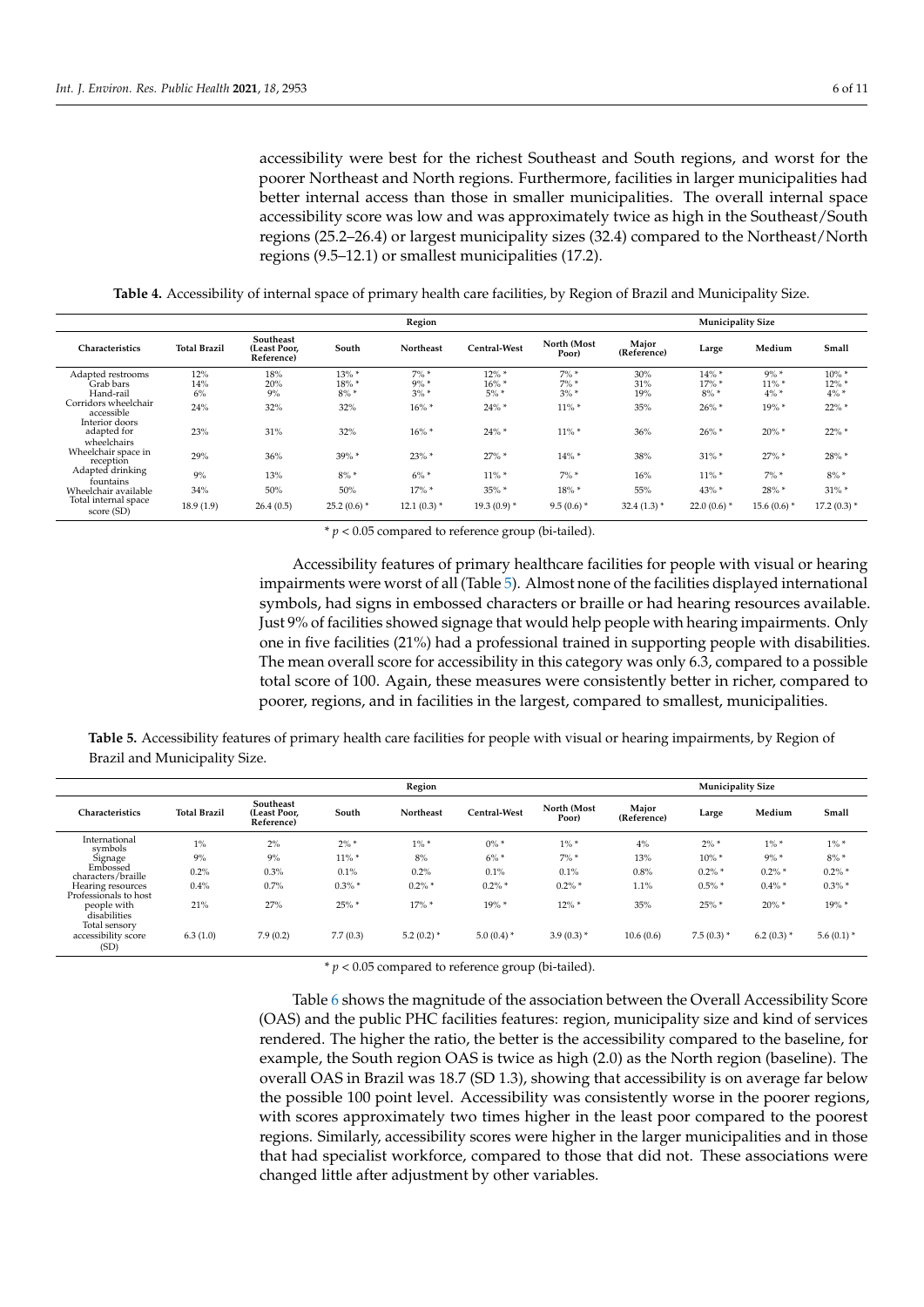accessibility were best for the richest Southeast and South regions, and worst for the poorer Northeast and North regions. Furthermore, facilities in larger municipalities had better internal access than those in smaller municipalities. The overall internal space accessibility score was low and was approximately twice as high in the Southeast/South regions (25.2–26.4) or largest municipality sizes (32.4) compared to the Northeast/North regions (9.5–12.1) or smallest municipalities (17.2).

**Table 4.** Accessibility of internal space of primary health care facilities, by Region of Brazil and Municipality Size.

<span id="page-5-0"></span>

| Region                                       |                     |                                         |                                 |                               |                              | <b>Municipality Size</b>      |                      |                           |                                |                                 |
|----------------------------------------------|---------------------|-----------------------------------------|---------------------------------|-------------------------------|------------------------------|-------------------------------|----------------------|---------------------------|--------------------------------|---------------------------------|
| Characteristics                              | <b>Total Brazil</b> | Southeast<br>(Least Poor.<br>Reference) | South                           | <b>Northeast</b>              | <b>Central-West</b>          | North (Most<br>Poor)          | Major<br>(Reference) | Large                     | Medium                         | Small                           |
| Adapted restrooms<br>Grab bars<br>Hand-rail  | 12%<br>14%<br>6%    | 18%<br>20%<br>9%                        | $13\% *$<br>$18\%$ *<br>$8\% *$ | $7\%$ *<br>$9\% *$<br>$3\% *$ | $12\% *$<br>16% *<br>$5\%$ * | $7\%$ *<br>$7\%$ *<br>$3\% *$ | 30%<br>31%<br>19%    | 14% *<br>17% *<br>$8\% *$ | $9\% *$<br>$11\%$ *<br>$4\% *$ | $10\% *$<br>$12\%$ *<br>$4\% *$ |
| Corridors wheelchair<br>accessible           | 24%                 | 32%                                     | 32%                             | $16\%$ *                      | $24\%$ *                     | $11\%$ *                      | 35%                  | $26\%$ *                  | 19%*                           | $22\%$ *                        |
| Interior doors<br>adapted for<br>wheelchairs | 23%                 | 31%                                     | 32%                             | $16\% *$                      | $24\% *$                     | $11\%$ *                      | 36%                  | $26\%$ *                  | $20\%$ *                       | $22\%$ *                        |
| Wheelchair space in<br>reception             | 29%                 | 36%                                     | 39% *                           | $23\%$ *                      | $27\%$ *                     | $14\%$ *                      | 38%                  | $31\%$ *                  | $27\%$ *                       | 28% *                           |
| Adapted drinking<br>fountains                | 9%                  | 13%                                     | $8\% *$                         | $6\% *$                       | $11\% *$                     | $7\%$ *                       | 16%                  | $11\% *$                  | $7\% *$                        | $8\% *$                         |
| Wheelchair available                         | 34%                 | 50%                                     | 50%                             | $17\%$ *                      | $35\%$ *                     | 18% *                         | 55%                  | 43% *                     | 28% *                          | $31\%$ *                        |
| Total internal space<br>score (SD)           | 18.9(1.9)           | 26.4(0.5)                               | $25.2(0.6)$ *                   | $12.1(0.3)$ *                 | $19.3(0.9)*$                 | $9.5(0.6)$ *                  | $32.4(1.3)$ *        | $22.0(0.6)$ *             | $15.6(0.6)$ *                  | $17.2(0.3)$ *                   |

 $* p < 0.05$  compared to reference group (bi-tailed).

Accessibility features of primary healthcare facilities for people with visual or hearing impairments were worst of all (Table [5\)](#page-5-1). Almost none of the facilities displayed international symbols, had signs in embossed characters or braille or had hearing resources available. Just 9% of facilities showed signage that would help people with hearing impairments. Only one in five facilities (21%) had a professional trained in supporting people with disabilities. The mean overall score for accessibility in this category was only 6.3, compared to a possible total score of 100. Again, these measures were consistently better in richer, compared to poorer, regions, and in facilities in the largest, compared to smallest, municipalities.

<span id="page-5-1"></span>**Table 5.** Accessibility features of primary health care facilities for people with visual or hearing impairments, by Region of Brazil and Municipality Size.

|                                              | Region              |                                         |           |              |               | <b>Municipality Size</b> |                      |              |               |               |
|----------------------------------------------|---------------------|-----------------------------------------|-----------|--------------|---------------|--------------------------|----------------------|--------------|---------------|---------------|
| Characteristics                              | <b>Total Brazil</b> | Southeast<br>(Least Poor.<br>Reference) | South     | Northeast    | Central-West  | North (Most<br>Poor)     | Major<br>(Reference) | Large        | Medium        | Small         |
| International<br>symbols                     | $1\%$               | 2%                                      | $2\% *$   | $1\% *$      | $0\% *$       | $1\% *$                  | 4%                   | $2\% *$      | $1\% *$       | $1\% *$       |
| Signage                                      | 9%                  | 9%                                      | $11\% *$  | 8%           | $6\%$ *       | $7\%$ *                  | 13%                  | $10\% *$     | $9\% *$       | $8\% *$       |
| Embossed<br>characters/braille               | 0.2%                | 0.3%                                    | 0.1%      | 0.2%         | 0.1%          | 0.1%                     | 0.8%                 | $0.2\%$ *    | $0.2\%$ *     | $0.2\%$ *     |
| Hearing resources<br>Professionals to host   | 0.4%                | 0.7%                                    | $0.3\%$ * | $0.2\%$ *    | $0.2\%$ *     | $0.2\%$ *                | 1.1%                 | $0.5\% *$    | $0.4\%$ *     | $0.3\%$ *     |
| people with<br>disabilities                  | 21%                 | 27%                                     | $25\%$ *  | $17\%$ *     | 19% *         | $12\%$ *                 | 35%                  | $25\%$ *     | $20\%$ *      | 19% *         |
| Total sensory<br>accessibility score<br>(SD) | 6.3(1.0)            | 7.9(0.2)                                | 7.7(0.3)  | $5.2(0.2)$ * | 5.0 $(0.4)$ * | $3.9(0.3)$ *             | 10.6(0.6)            | $7.5(0.3)$ * | 6.2 (0.3) $*$ | 5.6 $(0.1)$ * |

\* *p* < 0.05 compared to reference group (bi-tailed).

Table [6](#page-6-0) shows the magnitude of the association between the Overall Accessibility Score (OAS) and the public PHC facilities features: region, municipality size and kind of services rendered. The higher the ratio, the better is the accessibility compared to the baseline, for example, the South region OAS is twice as high (2.0) as the North region (baseline). The overall OAS in Brazil was 18.7 (SD 1.3), showing that accessibility is on average far below the possible 100 point level. Accessibility was consistently worse in the poorer regions, with scores approximately two times higher in the least poor compared to the poorest regions. Similarly, accessibility scores were higher in the larger municipalities and in those that had specialist workforce, compared to those that did not. These associations were changed little after adjustment by other variables.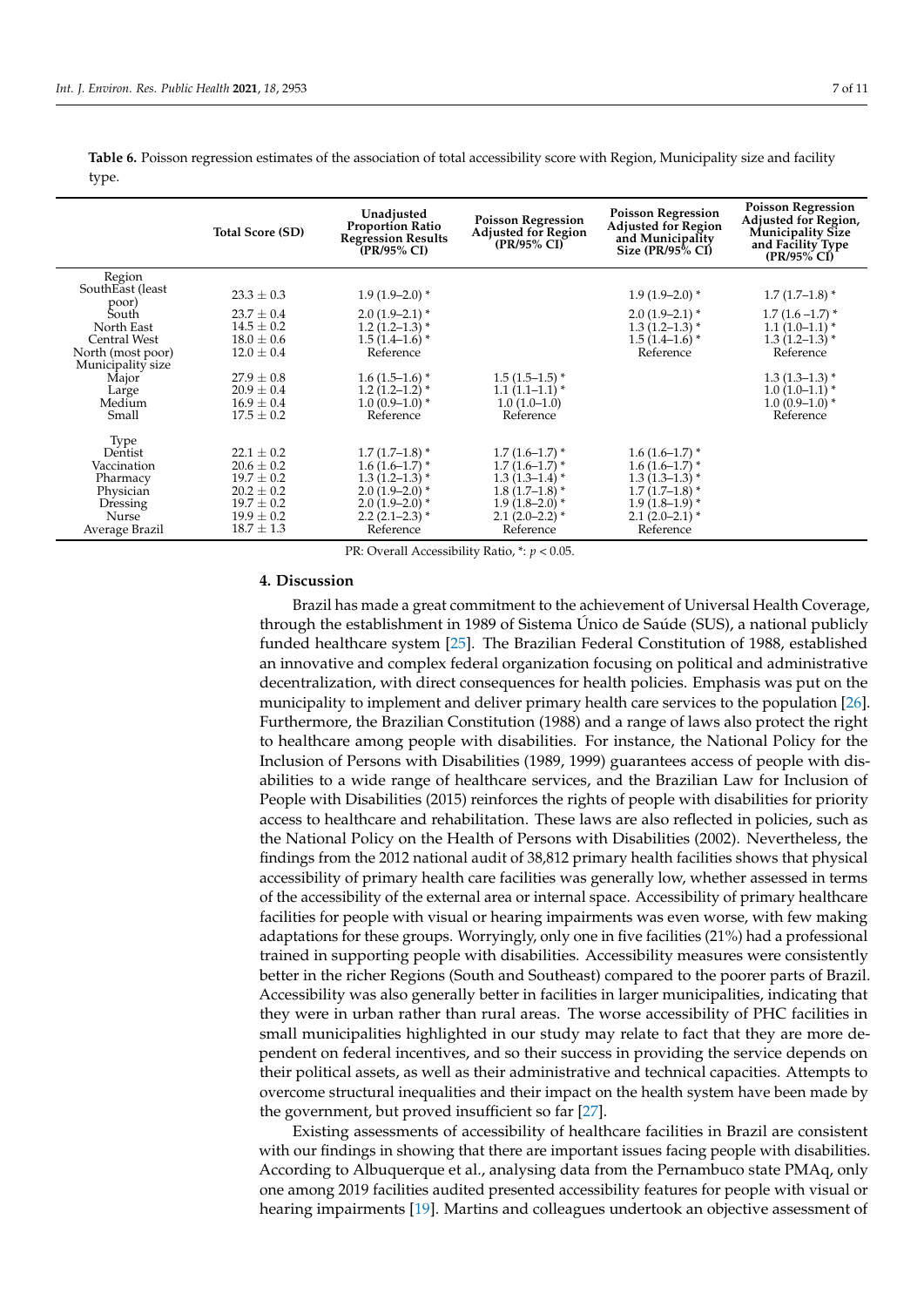|                           | <b>Total Score (SD)</b> | Unadjusted<br><b>Proportion Ratio</b><br><b>Regression Results</b><br>(PR/95% CI) | <b>Poisson Regression</b><br><b>Adjusted for Region</b><br>$(PR/95\% CI)$ | <b>Poisson Regression</b><br><b>Adjusted for Region</b><br>and Municipality<br>Size $\left(\frac{\text{PR}}{\text{95\%}}\right)$ CI | <b>Poisson Regression</b><br>Adjusted for Region,<br><b>Municipality Size</b><br>and Facility Type<br>(PR/95% CI) |
|---------------------------|-------------------------|-----------------------------------------------------------------------------------|---------------------------------------------------------------------------|-------------------------------------------------------------------------------------------------------------------------------------|-------------------------------------------------------------------------------------------------------------------|
| Region                    |                         |                                                                                   |                                                                           |                                                                                                                                     |                                                                                                                   |
| SouthEast (least<br>poor) | $23.3 \pm 0.3$          | $1.9(1.9-2.0)*$                                                                   |                                                                           | $1.9(1.9-2.0)*$                                                                                                                     | $1.7(1.7-1.8)$ *                                                                                                  |
| South                     | $23.7 \pm 0.4$          | $2.0(1.9-2.1)$ *                                                                  |                                                                           | $2.0(1.9-2.1)$ *                                                                                                                    | $1.7(1.6-1.7)$ *                                                                                                  |
| North East                | $14.5 \pm 0.2$          | $1.2(1.2-1.3)$ *                                                                  |                                                                           | $1.3(1.2-1.3)$ *                                                                                                                    | $1.1(1.0-1.1)$ *                                                                                                  |
| <b>Central West</b>       | $18.0 \pm 0.6$          | $1.5(1.4-1.6)$ <sup>*</sup>                                                       |                                                                           | $1.5(1.4-1.6)$ <sup>*</sup>                                                                                                         | $1.3(1.2-1.3)$ *                                                                                                  |
| North (most poor)         | $12.0 \pm 0.4$          | Reference                                                                         |                                                                           | Reference                                                                                                                           | Reference                                                                                                         |
| Municipality size         |                         |                                                                                   |                                                                           |                                                                                                                                     |                                                                                                                   |
| Major                     | $27.9 \pm 0.8$          | $1.6(1.5-1.6)$ *                                                                  | $1.5(1.5-1.5)^*$                                                          |                                                                                                                                     | $1.3(1.3-1.3)$ *                                                                                                  |
| Large                     | $20.9 \pm 0.4$          | $1.2(1.2-1.2)$ *                                                                  | $1.1(1.1-1.1)$ *                                                          |                                                                                                                                     | $1.0(1.0-1.1)$ *                                                                                                  |
| Medium                    | $16.9 \pm 0.4$          | $1.0(0.9-1.0)$ *                                                                  | $1.0(1.0-1.0)$                                                            |                                                                                                                                     | $1.0(0.9-1.0)$ *                                                                                                  |
| Small                     | $17.5 \pm 0.2$          | Reference                                                                         | Reference                                                                 |                                                                                                                                     | Reference                                                                                                         |
| Type                      |                         |                                                                                   |                                                                           |                                                                                                                                     |                                                                                                                   |
| Dentist                   | $22.1 \pm 0.2$          | $1.7(1.7-1.8)$ *                                                                  | $1.7(1.6-1.7)$ *                                                          | $1.6(1.6-1.7)$ *                                                                                                                    |                                                                                                                   |
| Vaccination               | $20.6 \pm 0.2$          | $1.6(1.6-1.7)$ *                                                                  | $1.7(1.6-1.7)$ *                                                          | $1.6(1.6-1.7)$ *                                                                                                                    |                                                                                                                   |
| Pharmacy                  | $19.7 \pm 0.2$          | $1.3(1.2-1.3)$ *                                                                  | $1.3(1.3-1.4)$ *                                                          | $1.3(1.3-1.3)$ *                                                                                                                    |                                                                                                                   |
| Physician                 | $20.2 \pm 0.2$          | $2.0(1.9-2.0)$ *                                                                  | $1.8(1.7-1.8)$ *                                                          | $1.7(1.7-1.8)$ *                                                                                                                    |                                                                                                                   |
| Dressing                  | $19.7 \pm 0.2$          | $2.0(1.9-2.0)*$                                                                   | $1.9(1.8-2.0)$ *                                                          | $1.9(1.8-1.9)$ <sup>*</sup>                                                                                                         |                                                                                                                   |
| Nurse <sup>1</sup>        | $19.9 \pm 0.2$          | $2.2(2.1-2.3)$ *                                                                  | $2.1(2.0-2.2)$ *                                                          | $2.1(2.0-2.1)$ *                                                                                                                    |                                                                                                                   |
| Average Brazil            | $18.7 \pm 1.3$          | Reference                                                                         | Reference                                                                 | Reference                                                                                                                           |                                                                                                                   |

<span id="page-6-0"></span>**Table 6.** Poisson regression estimates of the association of total accessibility score with Region, Municipality size and facility type.

PR: Overall Accessibility Ratio, \*: *p* < 0.05.

#### **4. Discussion**

Brazil has made a great commitment to the achievement of Universal Health Coverage, through the establishment in 1989 of Sistema Único de Saúde (SUS), a national publicly funded healthcare system [\[25\]](#page-10-3). The Brazilian Federal Constitution of 1988, established an innovative and complex federal organization focusing on political and administrative decentralization, with direct consequences for health policies. Emphasis was put on the municipality to implement and deliver primary health care services to the population [\[26\]](#page-10-4). Furthermore, the Brazilian Constitution (1988) and a range of laws also protect the right to healthcare among people with disabilities. For instance, the National Policy for the Inclusion of Persons with Disabilities (1989, 1999) guarantees access of people with disabilities to a wide range of healthcare services, and the Brazilian Law for Inclusion of People with Disabilities (2015) reinforces the rights of people with disabilities for priority access to healthcare and rehabilitation. These laws are also reflected in policies, such as the National Policy on the Health of Persons with Disabilities (2002). Nevertheless, the findings from the 2012 national audit of 38,812 primary health facilities shows that physical accessibility of primary health care facilities was generally low, whether assessed in terms of the accessibility of the external area or internal space. Accessibility of primary healthcare facilities for people with visual or hearing impairments was even worse, with few making adaptations for these groups. Worryingly, only one in five facilities (21%) had a professional trained in supporting people with disabilities. Accessibility measures were consistently better in the richer Regions (South and Southeast) compared to the poorer parts of Brazil. Accessibility was also generally better in facilities in larger municipalities, indicating that they were in urban rather than rural areas. The worse accessibility of PHC facilities in small municipalities highlighted in our study may relate to fact that they are more dependent on federal incentives, and so their success in providing the service depends on their political assets, as well as their administrative and technical capacities. Attempts to overcome structural inequalities and their impact on the health system have been made by the government, but proved insufficient so far [\[27\]](#page-10-5).

Existing assessments of accessibility of healthcare facilities in Brazil are consistent with our findings in showing that there are important issues facing people with disabilities. According to Albuquerque et al., analysing data from the Pernambuco state PMAq, only one among 2019 facilities audited presented accessibility features for people with visual or hearing impairments [\[19\]](#page-9-19). Martins and colleagues undertook an objective assessment of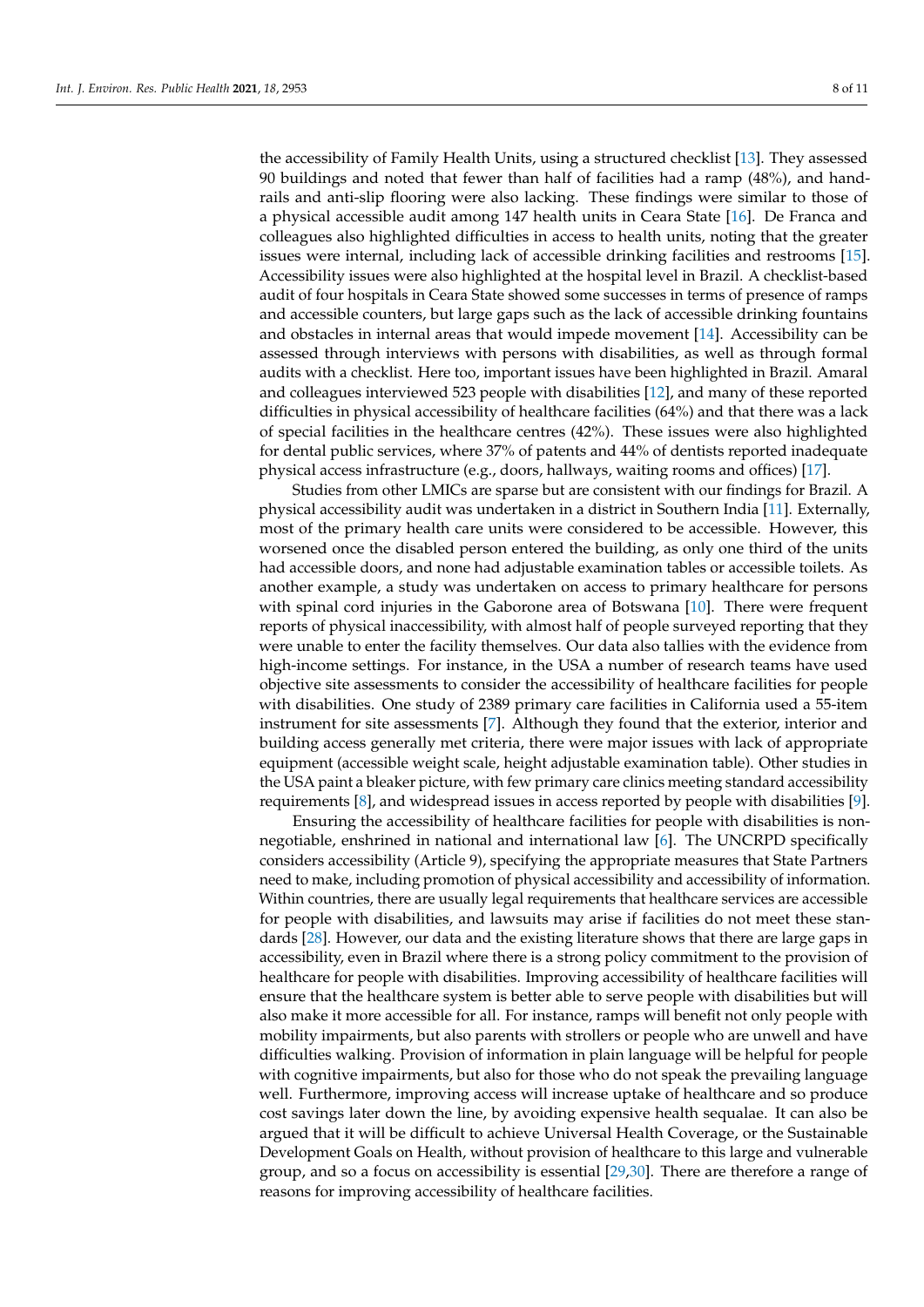the accessibility of Family Health Units, using a structured checklist [\[13\]](#page-9-12). They assessed 90 buildings and noted that fewer than half of facilities had a ramp (48%), and handrails and anti-slip flooring were also lacking. These findings were similar to those of a physical accessible audit among 147 health units in Ceara State [\[16\]](#page-9-15). De Franca and colleagues also highlighted difficulties in access to health units, noting that the greater issues were internal, including lack of accessible drinking facilities and restrooms [\[15\]](#page-9-13). Accessibility issues were also highlighted at the hospital level in Brazil. A checklist-based audit of four hospitals in Ceara State showed some successes in terms of presence of ramps and accessible counters, but large gaps such as the lack of accessible drinking fountains and obstacles in internal areas that would impede movement [\[14\]](#page-9-14). Accessibility can be assessed through interviews with persons with disabilities, as well as through formal audits with a checklist. Here too, important issues have been highlighted in Brazil. Amaral and colleagues interviewed 523 people with disabilities [\[12\]](#page-9-10), and many of these reported difficulties in physical accessibility of healthcare facilities (64%) and that there was a lack of special facilities in the healthcare centres (42%). These issues were also highlighted for dental public services, where 37% of patents and 44% of dentists reported inadequate physical access infrastructure (e.g., doors, hallways, waiting rooms and offices) [\[17\]](#page-9-11).

Studies from other LMICs are sparse but are consistent with our findings for Brazil. A physical accessibility audit was undertaken in a district in Southern India [\[11\]](#page-9-9). Externally, most of the primary health care units were considered to be accessible. However, this worsened once the disabled person entered the building, as only one third of the units had accessible doors, and none had adjustable examination tables or accessible toilets. As another example, a study was undertaken on access to primary healthcare for persons with spinal cord injuries in the Gaborone area of Botswana [\[10\]](#page-9-8). There were frequent reports of physical inaccessibility, with almost half of people surveyed reporting that they were unable to enter the facility themselves. Our data also tallies with the evidence from high-income settings. For instance, in the USA a number of research teams have used objective site assessments to consider the accessibility of healthcare facilities for people with disabilities. One study of 2389 primary care facilities in California used a 55-item instrument for site assessments [\[7\]](#page-9-6). Although they found that the exterior, interior and building access generally met criteria, there were major issues with lack of appropriate equipment (accessible weight scale, height adjustable examination table). Other studies in the USA paint a bleaker picture, with few primary care clinics meeting standard accessibility requirements [\[8\]](#page-9-20), and widespread issues in access reported by people with disabilities [\[9\]](#page-9-7).

Ensuring the accessibility of healthcare facilities for people with disabilities is nonnegotiable, enshrined in national and international law [\[6\]](#page-9-5). The UNCRPD specifically considers accessibility (Article 9), specifying the appropriate measures that State Partners need to make, including promotion of physical accessibility and accessibility of information. Within countries, there are usually legal requirements that healthcare services are accessible for people with disabilities, and lawsuits may arise if facilities do not meet these standards [\[28\]](#page-10-6). However, our data and the existing literature shows that there are large gaps in accessibility, even in Brazil where there is a strong policy commitment to the provision of healthcare for people with disabilities. Improving accessibility of healthcare facilities will ensure that the healthcare system is better able to serve people with disabilities but will also make it more accessible for all. For instance, ramps will benefit not only people with mobility impairments, but also parents with strollers or people who are unwell and have difficulties walking. Provision of information in plain language will be helpful for people with cognitive impairments, but also for those who do not speak the prevailing language well. Furthermore, improving access will increase uptake of healthcare and so produce cost savings later down the line, by avoiding expensive health sequalae. It can also be argued that it will be difficult to achieve Universal Health Coverage, or the Sustainable Development Goals on Health, without provision of healthcare to this large and vulnerable group, and so a focus on accessibility is essential [\[29,](#page-10-7)[30\]](#page-10-8). There are therefore a range of reasons for improving accessibility of healthcare facilities.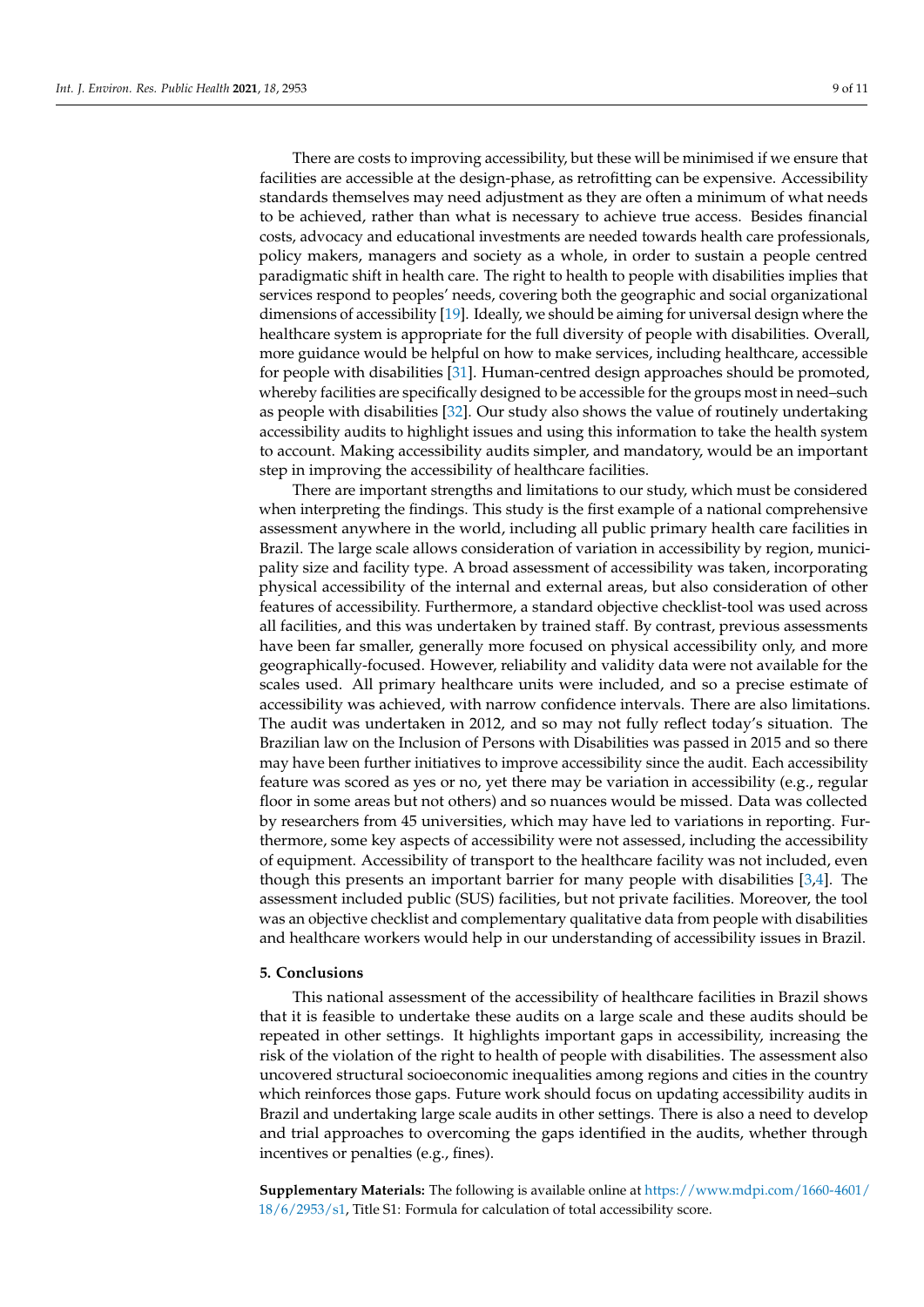There are costs to improving accessibility, but these will be minimised if we ensure that facilities are accessible at the design-phase, as retrofitting can be expensive. Accessibility standards themselves may need adjustment as they are often a minimum of what needs to be achieved, rather than what is necessary to achieve true access. Besides financial costs, advocacy and educational investments are needed towards health care professionals, policy makers, managers and society as a whole, in order to sustain a people centred paradigmatic shift in health care. The right to health to people with disabilities implies that services respond to peoples' needs, covering both the geographic and social organizational dimensions of accessibility [\[19\]](#page-9-19). Ideally, we should be aiming for universal design where the healthcare system is appropriate for the full diversity of people with disabilities. Overall, more guidance would be helpful on how to make services, including healthcare, accessible for people with disabilities [\[31\]](#page-10-9). Human-centred design approaches should be promoted, whereby facilities are specifically designed to be accessible for the groups most in need–such as people with disabilities [\[32\]](#page-10-10). Our study also shows the value of routinely undertaking accessibility audits to highlight issues and using this information to take the health system to account. Making accessibility audits simpler, and mandatory, would be an important step in improving the accessibility of healthcare facilities.

There are important strengths and limitations to our study, which must be considered when interpreting the findings. This study is the first example of a national comprehensive assessment anywhere in the world, including all public primary health care facilities in Brazil. The large scale allows consideration of variation in accessibility by region, municipality size and facility type. A broad assessment of accessibility was taken, incorporating physical accessibility of the internal and external areas, but also consideration of other features of accessibility. Furthermore, a standard objective checklist-tool was used across all facilities, and this was undertaken by trained staff. By contrast, previous assessments have been far smaller, generally more focused on physical accessibility only, and more geographically-focused. However, reliability and validity data were not available for the scales used. All primary healthcare units were included, and so a precise estimate of accessibility was achieved, with narrow confidence intervals. There are also limitations. The audit was undertaken in 2012, and so may not fully reflect today's situation. The Brazilian law on the Inclusion of Persons with Disabilities was passed in 2015 and so there may have been further initiatives to improve accessibility since the audit. Each accessibility feature was scored as yes or no, yet there may be variation in accessibility (e.g., regular floor in some areas but not others) and so nuances would be missed. Data was collected by researchers from 45 universities, which may have led to variations in reporting. Furthermore, some key aspects of accessibility were not assessed, including the accessibility of equipment. Accessibility of transport to the healthcare facility was not included, even though this presents an important barrier for many people with disabilities [\[3](#page-9-2)[,4\]](#page-9-3). The assessment included public (SUS) facilities, but not private facilities. Moreover, the tool was an objective checklist and complementary qualitative data from people with disabilities and healthcare workers would help in our understanding of accessibility issues in Brazil.

#### **5. Conclusions**

This national assessment of the accessibility of healthcare facilities in Brazil shows that it is feasible to undertake these audits on a large scale and these audits should be repeated in other settings. It highlights important gaps in accessibility, increasing the risk of the violation of the right to health of people with disabilities. The assessment also uncovered structural socioeconomic inequalities among regions and cities in the country which reinforces those gaps. Future work should focus on updating accessibility audits in Brazil and undertaking large scale audits in other settings. There is also a need to develop and trial approaches to overcoming the gaps identified in the audits, whether through incentives or penalties (e.g., fines).

**Supplementary Materials:** The following is available online at [https://www.mdpi.com/1660-4601/](https://www.mdpi.com/1660-4601/18/6/2953/s1) [18/6/2953/s1,](https://www.mdpi.com/1660-4601/18/6/2953/s1) Title S1: Formula for calculation of total accessibility score.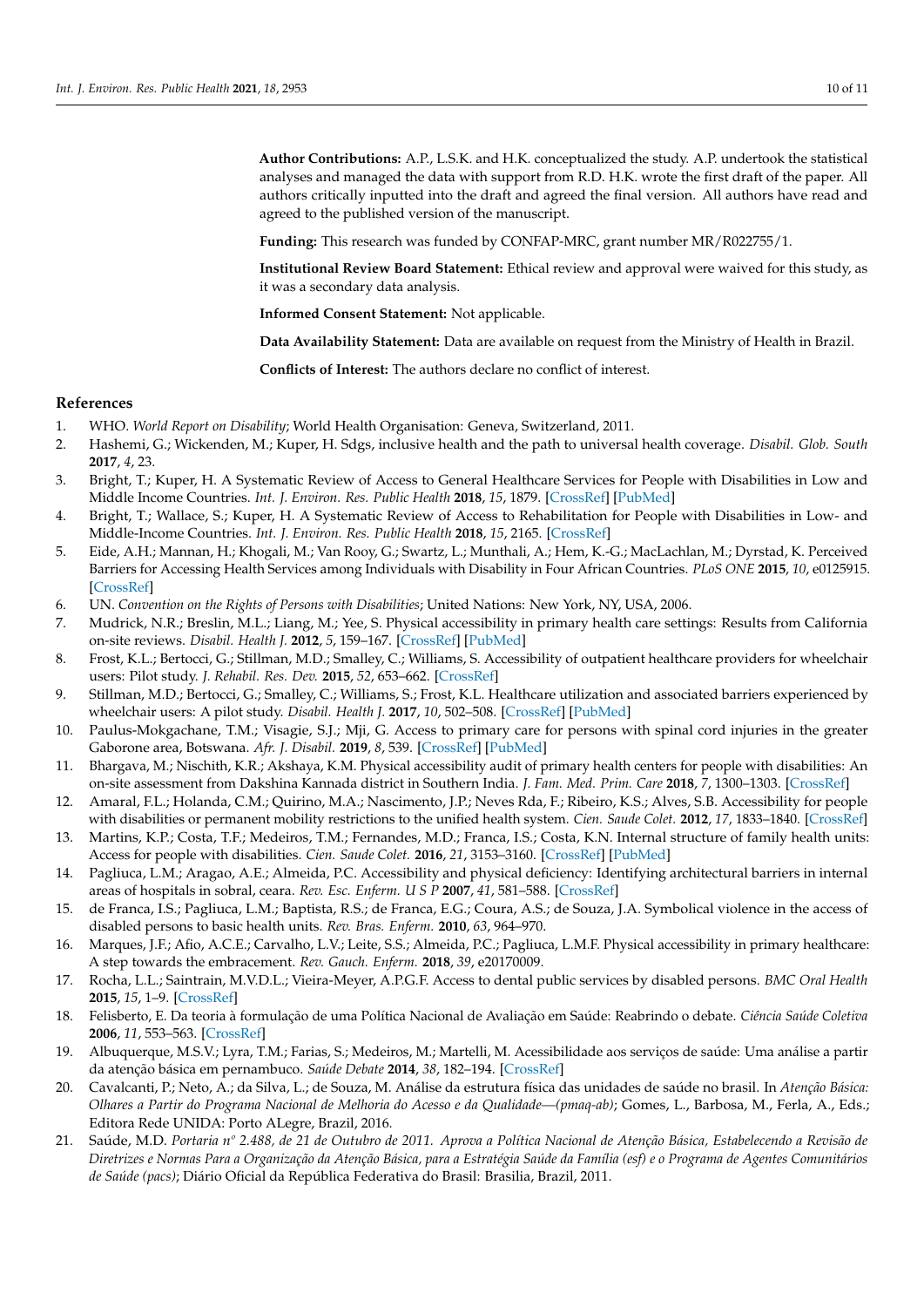**Author Contributions:** A.P., L.S.K. and H.K. conceptualized the study. A.P. undertook the statistical analyses and managed the data with support from R.D. H.K. wrote the first draft of the paper. All authors critically inputted into the draft and agreed the final version. All authors have read and agreed to the published version of the manuscript.

**Funding:** This research was funded by CONFAP-MRC, grant number MR/R022755/1.

**Institutional Review Board Statement:** Ethical review and approval were waived for this study, as it was a secondary data analysis.

**Informed Consent Statement:** Not applicable.

**Data Availability Statement:** Data are available on request from the Ministry of Health in Brazil.

**Conflicts of Interest:** The authors declare no conflict of interest.

# **References**

- <span id="page-9-0"></span>1. WHO. *World Report on Disability*; World Health Organisation: Geneva, Switzerland, 2011.
- <span id="page-9-1"></span>2. Hashemi, G.; Wickenden, M.; Kuper, H. Sdgs, inclusive health and the path to universal health coverage. *Disabil. Glob. South* **2017**, *4*, 23.
- <span id="page-9-2"></span>3. Bright, T.; Kuper, H. A Systematic Review of Access to General Healthcare Services for People with Disabilities in Low and Middle Income Countries. *Int. J. Environ. Res. Public Health* **2018**, *15*, 1879. [\[CrossRef\]](http://doi.org/10.3390/ijerph15091879) [\[PubMed\]](http://www.ncbi.nlm.nih.gov/pubmed/30200250)
- <span id="page-9-3"></span>4. Bright, T.; Wallace, S.; Kuper, H. A Systematic Review of Access to Rehabilitation for People with Disabilities in Low- and Middle-Income Countries. *Int. J. Environ. Res. Public Health* **2018**, *15*, 2165. [\[CrossRef\]](http://doi.org/10.3390/ijerph15102165)
- <span id="page-9-4"></span>5. Eide, A.H.; Mannan, H.; Khogali, M.; Van Rooy, G.; Swartz, L.; Munthali, A.; Hem, K.-G.; MacLachlan, M.; Dyrstad, K. Perceived Barriers for Accessing Health Services among Individuals with Disability in Four African Countries. *PLoS ONE* **2015**, *10*, e0125915. [\[CrossRef\]](http://doi.org/10.1371/journal.pone.0125915)
- <span id="page-9-5"></span>6. UN. *Convention on the Rights of Persons with Disabilities*; United Nations: New York, NY, USA, 2006.
- <span id="page-9-6"></span>7. Mudrick, N.R.; Breslin, M.L.; Liang, M.; Yee, S. Physical accessibility in primary health care settings: Results from California on-site reviews. *Disabil. Health J.* **2012**, *5*, 159–167. [\[CrossRef\]](http://doi.org/10.1016/j.dhjo.2012.02.002) [\[PubMed\]](http://www.ncbi.nlm.nih.gov/pubmed/22726856)
- <span id="page-9-20"></span>8. Frost, K.L.; Bertocci, G.; Stillman, M.D.; Smalley, C.; Williams, S. Accessibility of outpatient healthcare providers for wheelchair users: Pilot study. *J. Rehabil. Res. Dev.* **2015**, *52*, 653–662. [\[CrossRef\]](http://doi.org/10.1682/JRRD.2015.01.0002)
- <span id="page-9-7"></span>9. Stillman, M.D.; Bertocci, G.; Smalley, C.; Williams, S.; Frost, K.L. Healthcare utilization and associated barriers experienced by wheelchair users: A pilot study. *Disabil. Health J.* **2017**, *10*, 502–508. [\[CrossRef\]](http://doi.org/10.1016/j.dhjo.2017.02.003) [\[PubMed\]](http://www.ncbi.nlm.nih.gov/pubmed/28245968)
- <span id="page-9-8"></span>10. Paulus-Mokgachane, T.M.; Visagie, S.J.; Mji, G. Access to primary care for persons with spinal cord injuries in the greater Gaborone area, Botswana. *Afr. J. Disabil.* **2019**, *8*, 539. [\[CrossRef\]](http://doi.org/10.4102/ajod.v8i0.539) [\[PubMed\]](http://www.ncbi.nlm.nih.gov/pubmed/31616623)
- <span id="page-9-9"></span>11. Bhargava, M.; Nischith, K.R.; Akshaya, K.M. Physical accessibility audit of primary health centers for people with disabilities: An on-site assessment from Dakshina Kannada district in Southern India. *J. Fam. Med. Prim. Care* **2018**, *7*, 1300–1303. [\[CrossRef\]](http://doi.org/10.4103/jfmpc.jfmpc_177_18)
- <span id="page-9-10"></span>12. Amaral, F.L.; Holanda, C.M.; Quirino, M.A.; Nascimento, J.P.; Neves Rda, F.; Ribeiro, K.S.; Alves, S.B. Accessibility for people with disabilities or permanent mobility restrictions to the unified health system. *Cien. Saude Colet.* **2012**, *17*, 1833–1840. [\[CrossRef\]](http://doi.org/10.1590/S1413-81232012000700022)
- <span id="page-9-12"></span>13. Martins, K.P.; Costa, T.F.; Medeiros, T.M.; Fernandes, M.D.; Franca, I.S.; Costa, K.N. Internal structure of family health units: Access for people with disabilities. *Cien. Saude Colet.* **2016**, *21*, 3153–3160. [\[CrossRef\]](http://doi.org/10.1590/1413-812320152110.20052016) [\[PubMed\]](http://www.ncbi.nlm.nih.gov/pubmed/27783788)
- <span id="page-9-14"></span>14. Pagliuca, L.M.; Aragao, A.E.; Almeida, P.C. Accessibility and physical deficiency: Identifying architectural barriers in internal areas of hospitals in sobral, ceara. *Rev. Esc. Enferm. U S P* **2007**, *41*, 581–588. [\[CrossRef\]](http://doi.org/10.1590/S0080-62342007000400007)
- <span id="page-9-13"></span>15. de Franca, I.S.; Pagliuca, L.M.; Baptista, R.S.; de Franca, E.G.; Coura, A.S.; de Souza, J.A. Symbolical violence in the access of disabled persons to basic health units. *Rev. Bras. Enferm.* **2010**, *63*, 964–970.
- <span id="page-9-15"></span>16. Marques, J.F.; Afio, A.C.E.; Carvalho, L.V.; Leite, S.S.; Almeida, P.C.; Pagliuca, L.M.F. Physical accessibility in primary healthcare: A step towards the embracement. *Rev. Gauch. Enferm.* **2018**, *39*, e20170009.
- <span id="page-9-11"></span>17. Rocha, L.L.; Saintrain, M.V.D.L.; Vieira-Meyer, A.P.G.F. Access to dental public services by disabled persons. *BMC Oral Health* **2015**, *15*, 1–9. [\[CrossRef\]](http://doi.org/10.1186/s12903-015-0022-x)
- <span id="page-9-16"></span>18. Felisberto, E. Da teoria à formulação de uma Política Nacional de Avaliação em Saúde: Reabrindo o debate. *Ciência Saúde Coletiva* **2006**, *11*, 553–563. [\[CrossRef\]](http://doi.org/10.1590/S1413-81232006000300002)
- <span id="page-9-19"></span>19. Albuquerque, M.S.V.; Lyra, T.M.; Farias, S.; Medeiros, M.; Martelli, M. Acessibilidade aos serviços de saúde: Uma análise a partir da atenção básica em pernambuco. *Saúde Debate* **2014**, *38*, 182–194. [\[CrossRef\]](http://doi.org/10.5935/0103-1104.2014S014)
- <span id="page-9-17"></span>20. Cavalcanti, P.; Neto, A.; da Silva, L.; de Souza, M. Análise da estrutura física das unidades de saúde no brasil. In *Atenção Básica: Olhares a Partir do Programa Nacional de Melhoria do Acesso e da Qualidade—(pmaq-ab)*; Gomes, L., Barbosa, M., Ferla, A., Eds.; Editora Rede UNIDA: Porto ALegre, Brazil, 2016.
- <span id="page-9-18"></span>21. Saúde, M.D. *Portaria nº 2.488, de 21 de Outubro de 2011. Aprova a Política Nacional de Atenção Básica, Estabelecendo a Revisão de* Diretrizes e Normas Para a Organização da Atenção Básica, para a Estratégia Saúde da Família (esf) e o Programa de Agentes Comunitários *de Saúde (pacs)*; Diário Oficial da República Federativa do Brasil: Brasilia, Brazil, 2011.